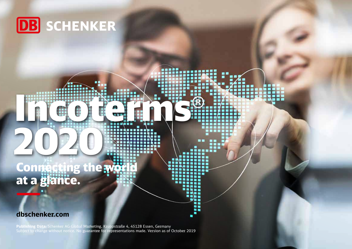

## 2020 Connecting the world at a glance.

### **dbschenker.com**

**Publishing Data:** Schenker AG Global Marketing, Kruppstraße 4, 45128 Essen, Germany Subject to change without notice. No g**uarantee for representations made. Version as of October 2019** 

Incorporation Cap

-----

.. ..

×